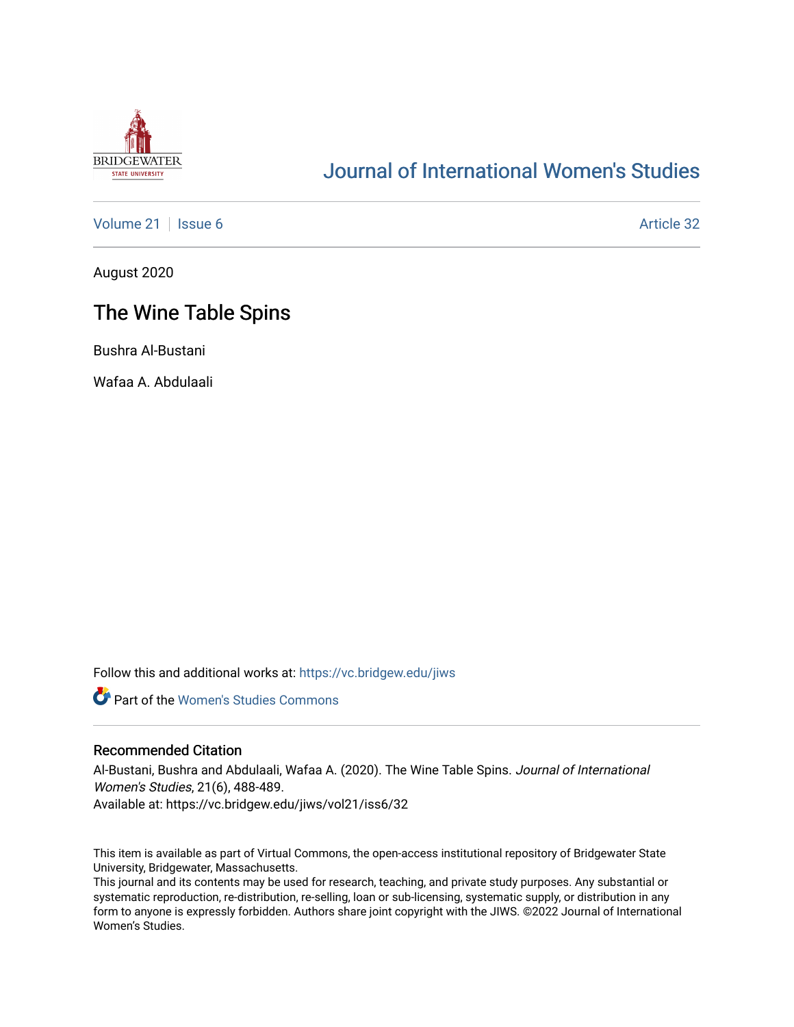

# [Journal of International Women's Studies](https://vc.bridgew.edu/jiws)

[Volume 21](https://vc.bridgew.edu/jiws/vol21) | [Issue 6](https://vc.bridgew.edu/jiws/vol21/iss6) Article 32

August 2020

# The Wine Table Spins

Bushra Al-Bustani

Wafaa A. Abdulaali

Follow this and additional works at: [https://vc.bridgew.edu/jiws](https://vc.bridgew.edu/jiws?utm_source=vc.bridgew.edu%2Fjiws%2Fvol21%2Fiss6%2F32&utm_medium=PDF&utm_campaign=PDFCoverPages)

**C** Part of the Women's Studies Commons

#### Recommended Citation

Al-Bustani, Bushra and Abdulaali, Wafaa A. (2020). The Wine Table Spins. Journal of International Women's Studies, 21(6), 488-489.

Available at: https://vc.bridgew.edu/jiws/vol21/iss6/32

This item is available as part of Virtual Commons, the open-access institutional repository of Bridgewater State University, Bridgewater, Massachusetts.

This journal and its contents may be used for research, teaching, and private study purposes. Any substantial or systematic reproduction, re-distribution, re-selling, loan or sub-licensing, systematic supply, or distribution in any form to anyone is expressly forbidden. Authors share joint copyright with the JIWS. ©2022 Journal of International Women's Studies.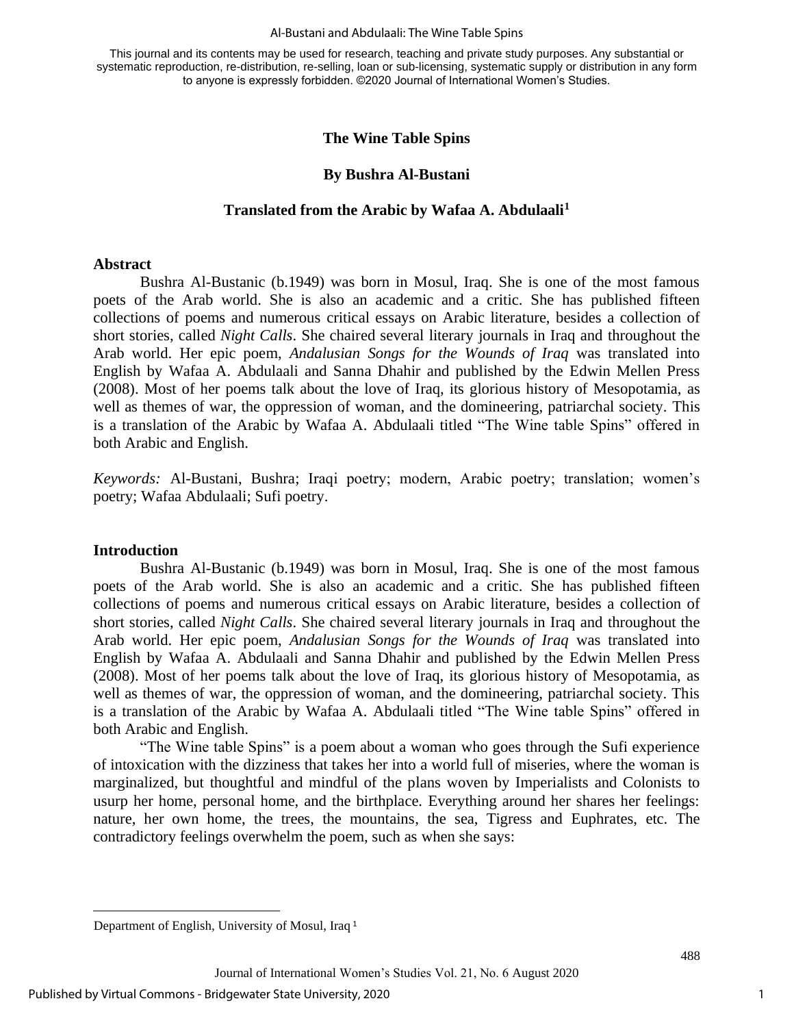This journal and its contents may be used for research, teaching and private study purposes. Any substantial or systematic reproduction, re-distribution, re-selling, loan or sub-licensing, systematic supply or distribution in any form to anyone is expressly forbidden. ©2020 Journal of International Women's Studies.

## **The Wine Table Spins**

### **By Bushra Al-Bustani**

#### **Translated from the Arabic by Wafaa A. Abdulaali<sup>1</sup>**

#### **Abstract**

Bushra Al-Bustanic (b.1949) was born in Mosul, Iraq. She is one of the most famous poets of the Arab world. She is also an academic and a critic. She has published fifteen collections of poems and numerous critical essays on Arabic literature, besides a collection of short stories, called *Night Calls*. She chaired several literary journals in Iraq and throughout the Arab world. Her epic poem, *Andalusian Songs for the Wounds of Iraq* was translated into English by Wafaa A. Abdulaali and Sanna Dhahir and published by the Edwin Mellen Press (2008). Most of her poems talk about the love of Iraq, its glorious history of Mesopotamia, as well as themes of war, the oppression of woman, and the domineering, patriarchal society. This is a translation of the Arabic by Wafaa A. Abdulaali titled "The Wine table Spins" offered in both Arabic and English.

*Keywords:* Al-Bustani, Bushra; Iraqi poetry; modern, Arabic poetry; translation; women's poetry; Wafaa Abdulaali; Sufi poetry.

#### **Introduction**

Bushra Al-Bustanic (b.1949) was born in Mosul, Iraq. She is one of the most famous poets of the Arab world. She is also an academic and a critic. She has published fifteen collections of poems and numerous critical essays on Arabic literature, besides a collection of short stories, called *Night Calls*. She chaired several literary journals in Iraq and throughout the Arab world. Her epic poem, *Andalusian Songs for the Wounds of Iraq* was translated into English by Wafaa A. Abdulaali and Sanna Dhahir and published by the Edwin Mellen Press (2008). Most of her poems talk about the love of Iraq, its glorious history of Mesopotamia, as well as themes of war, the oppression of woman, and the domineering, patriarchal society. This is a translation of the Arabic by Wafaa A. Abdulaali titled "The Wine table Spins" offered in both Arabic and English.

"The Wine table Spins" is a poem about a woman who goes through the Sufi experience of intoxication with the dizziness that takes her into a world full of miseries, where the woman is marginalized, but thoughtful and mindful of the plans woven by Imperialists and Colonists to usurp her home, personal home, and the birthplace. Everything around her shares her feelings: nature, her own home, the trees, the mountains, the sea, Tigress and Euphrates, etc. The contradictory feelings overwhelm the poem, such as when she says:

1

Department of English, University of Mosul, Iraq <sup>1</sup>

Journal of International Women's Studies Vol. 21, No. 6 August 2020